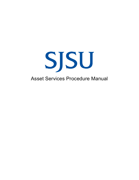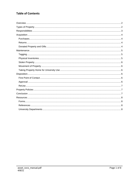# **Table of Contents**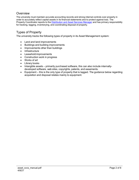## <span id="page-2-0"></span>**Overview**

The university must maintain accurate accounting records and strong internal controls over property in order to accurately reflect capital assets in its financial statements and to protect against loss. The Property Coordinator reports to the [Distribution and Asset Services Manager](https://www.sjsu.edu/fabs/services/assets/contact-us.php) and has primary responsibility for tracking, tagging, inventorying, and coordinating disposal of property.

# <span id="page-2-1"></span>Types of Property

The university tracks the following types of property in its Asset Management system:

- Land and land improvements
- Buildings and building improvements
- Improvements other than buildings
- Infrastructure
- Leasehold improvements
- Construction work in progress
- Works of art
- Library books
- Intangible assets primarily purchased software, this can also include internallydeveloped software, web sites, copyrights, patents, and easements.
- Equipment this is the only type of property that is tagged. The guidance below regarding acquisition and disposal relates mainly to equipment.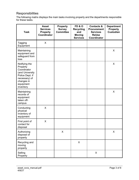# <span id="page-3-0"></span>**Responsibilities**

The following matrix displays the main tasks involving property and the departments responsible for these tasks.

| <b>Task</b>                                                                                                                             | <b>Asset</b><br><b>Services</b><br><b>Property</b><br>Coordinator | <b>Property</b><br><b>Survey</b><br><b>Committee</b> | <b>FD&amp;O</b><br><b>Recycling</b><br>and<br><b>Moving</b><br><b>Services</b> | <b>Contacts &amp;</b><br><b>Procurement</b><br><b>Services</b><br><b>ReUse</b><br>Coordinator | <b>Department</b><br><b>Property</b><br><b>Custodian</b> |
|-----------------------------------------------------------------------------------------------------------------------------------------|-------------------------------------------------------------------|------------------------------------------------------|--------------------------------------------------------------------------------|-----------------------------------------------------------------------------------------------|----------------------------------------------------------|
| Tagging<br>Equipment                                                                                                                    | $\mathsf{X}$                                                      |                                                      |                                                                                |                                                                                               |                                                          |
| Maintaining<br>equipment and<br>safeguard from<br>loss                                                                                  |                                                                   |                                                      |                                                                                |                                                                                               | X                                                        |
| Notifying the<br>Property<br>Coordinator<br>(and University<br>Police Dept. if<br>necessary) of<br>changes in<br>equipment<br>inventory |                                                                   |                                                      |                                                                                |                                                                                               | X                                                        |
| Maintaining<br>records of<br>equipment<br>taken off-<br>campus                                                                          |                                                                   |                                                      |                                                                                |                                                                                               | X                                                        |
| Conducting<br>physical<br>inventory of<br>equipment                                                                                     | X                                                                 |                                                      |                                                                                |                                                                                               |                                                          |
| First point of<br>contact for<br>disposal                                                                                               | X                                                                 |                                                      |                                                                                |                                                                                               |                                                          |
| Authorizing<br>disposal of<br>property                                                                                                  |                                                                   | X                                                    |                                                                                |                                                                                               | X                                                        |
| Recycling and<br>moving<br>property                                                                                                     |                                                                   |                                                      | X                                                                              |                                                                                               |                                                          |
| Selling<br>Property                                                                                                                     |                                                                   |                                                      |                                                                                | X                                                                                             |                                                          |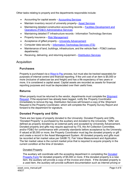Other tasks relating to property and the departments responsible include:

- Accounting for capital assets – [Accounting Services](http://www.sjsu.edu/fabs/services/accounting/index.php)
- Maintain inventory record of university property– [Asset Services](http://www.sjsu.edu/fabs/services/assets/index.php)
- Maintaining detailed construction accounting records – [Facilities Development and](http://www.sjsu.edu/fdo/) [Operations \(FD&O\) Administrative Services](http://www.sjsu.edu/fdo/)
- Maintaining detailed IT infrastructure records Information Technology Services
- Property insurance – [Risk Management](http://www.sjsu.edu/fabs/services/risk/index.php)
- Acceptance of gifted property University [Advancement](http://www.sjsu.edu/advancement/)
- Computer data security Information Technology [Services \(ITS\)](http://its.sjsu.edu/)
- Maintenance of land, buildings, infrastructure, and the vehicle fleet FD&O (various departments)
- Receiving, delivering, and returning equipment – [Distribution](http://www.sjsu.edu/fabs/services/distribution/index.php) Services

## <span id="page-4-1"></span><span id="page-4-0"></span>Acquisition

#### **Purchases**

Property is purchased via [a Ways to Pay](http://www.sjsu.edu/fabs/services/p2p/pay/index.php) process, but must also be tracked separately for purposes of internal control and financial reporting. If the unit cost of an item is \$5,000 or more (inclusive of sales/use tax and freight) and has a life expectancy of two years or more, it is considered a capital asset. Capital assets are recorded as assets for financial reporting purposes and must be depreciated over their useful lives.

#### <span id="page-4-2"></span>**Returns**

When property must be returned to the vendor, departments must complete the Shipment [Request.](http://www.sjsu.edu/fabs/how-we-can-help/forms-resources/forms.php#S) If the equipment has already been tagged, notify the Property Coordinator immediately to remove the tag. Distribution Services will forward a copy of the Shipment Request to the Property Coordinator, which will complete the Property Survey Report and forward to the department for signature.

## <span id="page-4-3"></span>**Donated Property and Gifts**

There are two types of property donated to the University: Donated Property and Gifts. "Donated Property" is purchased by the auxiliary and donated to the University. "Gifts" are defined as property donated by an external party and accepted by University Advancement. Donated property and gifts may require approval by ITS, the Art Collection Committee, and/or FD&O for conformance with university standards before acceptance by the University. If valued at \$5,000 or more, the Property Coordinator must tag the donated property or gift and create a record in the Asset Management System. All donated property and gifts must be recorded at fair market value per GASB 72, Fair Value Measurement and Application. The fair market value is the current market price that is required to acquire property in the current condition at the time of donation.

#### Donated Property

The auxiliary will coordinate with the accepting department in completing the [Donated](http://www.sjsu.edu/fabs/docs/donated_property_form.pdf)  [Property Form](http://www.sjsu.edu/fabs/docs/donated_property_form.pdf) for donated property of \$5,000 or more. If the donated property is a new item, the auxiliary will provide a copy of the invoice and check. If the donated property is a used item, the auxiliary will provide sufficient documentation such as internet pricing or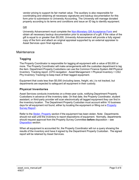vendor pricing to support its fair market value. The auxiliary is also responsible for coordinating and obtaining all necessary signatures and backup documentation for this form prior to submission to University Accounting. The University will manage donated property according to its terms and conditions and issue an ID tag to identify equipment.

#### Gift

University Advancement must complete the [Non-Monetary Gift Acceptance Form](https://www.sjsu.edu/towerfoundation/docs/non-monetary_gift_acceptance_fillable.pdf) and obtain all necessary backup documentation prior to acceptance of a gift. If the value of the gift is equal to or greater than \$5,000, University Advancement will provide a fully signed copy of the form and attach an original appraisal supported by an external appraiser to Asset Services upon final signature.

## <span id="page-5-1"></span><span id="page-5-0"></span>**Maintenance**

## **Tagging**

The Property Coordinator is responsible for tagging all equipment with a value of \$5,000 or more. The Property Coordinator will make arrangements with the custodian department to tag the item. Department Property Custodians can use the Common Finance System AM Physical Inventory Tracking report. (CFS navigation: Asset Management > Physical Inventory > CSU Phy Inventory Tracking) to keep track of their tagged equipment.

Equipment that costs less than \$5,000 (including taxes, freight, etc.) is not tracked, but departments are expected to safeguard all equipment in their custody.

## <span id="page-5-2"></span>**Physical Inventories**

Asset Services conducts inventories on a three-year cycle, notifying Department Property Custodians in advance of the inventory date. On that date, the Property Coordinator, student assistant, or third-party provider will scan electronically all tagged equipment they can find in the inventory location. The Department Property Custodian must account within 10 business days for all equipment not found, either by locating the equipment or filling out a [Property](http://www.sjsu.edu/fabs/docs/survey_rpt.pdf)  [Survey Report](http://www.sjsu.edu/fabs/docs/survey_rpt.pdf) .

Refer to the Stolen [Property](#page-6-0) section if the equipment has been stolen. Note: Departments should not wait until the inventory to report dispositions of equipment. Normally, departments should request approval from the Property Survey Committee **before** disposition – see [Disposition](#page-6-3) section.

When all equipment is accounted for, the Property Coordinator will run a query showing the results of the inventory and have it signed by the Department Property Custodian. The signed report will be retained by Asset Services.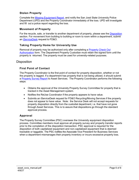## <span id="page-6-0"></span>**Stolen Property**

Complete the Missing [Equipment](http://www.sjsu.edu/fabs/docs/missing_equip_rpt.pdf) Report and notify the San José State University Police Department (UPD) and the Property Coordinator immediately of the loss. UPD will investigate and fill out a police report regarding the loss.

#### <span id="page-6-1"></span>**Movement of Property**

For the recycle, sale, or transfer to another department of property, please see the **[Disposition](#page-6-3)** section. For movement from building to building or room to room within a department, submit an [iServiceDesk](http://admtma.sjsu.edu/) request to FD&O.

#### <span id="page-6-2"></span>**Taking Property Home for University Use**

Removal of property may be authorized only after completing a [Property](http://www..sjsu.edu/fabs/how-we-can-help/forms-resources/forms.php#P) Check Out [Authorization](http://www..sjsu.edu/fabs/how-we-can-help/forms-resources/forms.php#P) form. The Department Property Custodian must retain the signed form until the property is returned. The property must be used for university-related purposes.

#### <span id="page-6-4"></span><span id="page-6-3"></span>**Disposition**

#### **First Point of Contact**

The Property Coordinator is the first point of contact for property disposition, whether or not the property is tagged. If a department has property that is not being utilized, it should submit a [Property](http://www.sjsu.edu/fabs/docs/survey_rpt.pdf) Survey Report to Asset Services. The Property Coordinator performs the following steps:

- Obtains the approval of the University Property Survey Committee for property that is tracked in the Asset Management system.
- Notifies the ReUse Coordinator if the property appears to have value.
- Submits an iServiceDesk request for FD&O Recycling/Moving Services if the property does not appear to have value. Note: the Service Desk will not accept requests for property disposition directly from the custodial department, i.e. that have not gone through Asset Services. This is to assure that dispositions go through the standard approval process.

#### <span id="page-6-5"></span>**Approval**

The Property Survey Committee (PSC) oversees the University equipment disposition process. Committee members must approve all property survey and property transfer reports prior to the completion of the disposition transaction. PSC approval is required for the disposition of both capitalized equipment and non‐capitalized equipment that is deemed trackable or taggable. The PSC notifies the Associate Vice President for Business Services when a department mismanages their property inventory or incurs excessive property loss.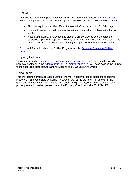## <span id="page-7-0"></span>**ReUse**

The ReUse Coordinator puts equipment in working order up for auction via Public [Surplus,](http://www.publicsurplus.com/) a website designed to assist government agencies with disposal of furniture and equipment.

- First, the equipment will be offered for Internal (Campus) Auction for 7-14 days.
- Items not claimed during the Internal Auction are placed on Public Auction for two weeks.
- Note that university employees and students are considered outside parties for purposes of property disposal. They may participate in the Public Auction, but not the Internal Auction. The university may not gift property of significant value to them.

For more information about the ReUse Program, see the [Furniture/Equipment](http://www.sjsu.edu/finance/about_us/core_services/reuse_program/index.html) ReUse [Program.](http://www.sjsu.edu/finance/about_us/core_services/reuse_program/index.html)

# <span id="page-7-1"></span>Property Policies

University property procedures are designed in accordance with California State University policies as set forth in the [Administration of University Property Policy.](https://calstate.policystat.com/policy/8543126/latest/) These policies in turn refer to the applicable state statutes and regulations and CSU Executive Orders.

## <span id="page-7-2"></span>**Conclusion**

This procedure manual addresses some of the most frequently asked questions regarding property at San José State University. However, we realize that it will not answer all the questions that you might have. If you have additional questions, or would like help in solving a property-related question, please contact the Property Coordinator at (408) 924-1562.